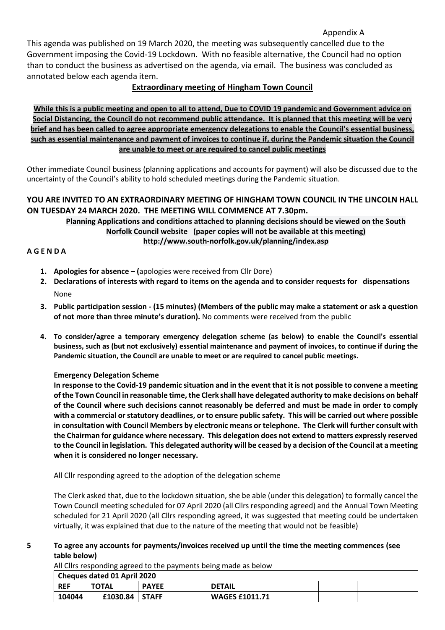### Appendix A

This agenda was published on 19 March 2020, the meeting was subsequently cancelled due to the Government imposing the Covid-19 Lockdown. With no feasible alternative, the Council had no option than to conduct the business as advertised on the agenda, via email. The business was concluded as annotated below each agenda item.

# **Extraordinary meeting of Hingham Town Council**

**While this is a public meeting and open to all to attend, Due to COVID 19 pandemic and Government advice on Social Distancing, the Council do not recommend public attendance. It is planned that this meeting will be very brief and has been called to agree appropriate emergency delegations to enable the Council's essential business, such as essential maintenance and payment of invoices to continue if, during the Pandemic situation the Council are unable to meet or are required to cancel public meetings**

Other immediate Council business (planning applications and accounts for payment) will also be discussed due to the uncertainty of the Council's ability to hold scheduled meetings during the Pandemic situation.

## **YOU ARE INVITED TO AN EXTRAORDINARY MEETING OF HINGHAM TOWN COUNCIL IN THE LINCOLN HALL ON TUESDAY 24 MARCH 2020. THE MEETING WILL COMMENCE AT 7.30pm.**

**Planning Applications and conditions attached to planning decisions should be viewed on the South Norfolk Council website (paper copies will not be available at this meeting) http://www.south-norfolk.gov.uk/planning/index.asp**

## **A G E N D A**

- **1. Apologies for absence – (**apologies were received from Cllr Dore)
- **2. Declarations of interests with regard to items on the agenda and to consider requests for dispensations** None
- **3. Public participation session - (15 minutes) (Members of the public may make a statement or ask a question of not more than three minute's duration).** No comments were received from the public
- **4. To consider/agree a temporary emergency delegation scheme (as below) to enable the Council's essential business, such as (but not exclusively) essential maintenance and payment of invoices, to continue if during the Pandemic situation, the Council are unable to meet or are required to cancel public meetings.**

### **Emergency Delegation Scheme**

**In response to the Covid-19 pandemic situation and in the event that it is not possible to convene a meeting of the Town Council in reasonable time, the Clerk shall have delegated authority to make decisions on behalf of the Council where such decisions cannot reasonably be deferred and must be made in order to comply with a commercial or statutory deadlines, or to ensure public safety. This will be carried out where possible in consultation with Council Members by electronic means or telephone. The Clerk will further consult with the Chairman for guidance where necessary. This delegation does not extend to matters expressly reserved to the Council in legislation. This delegated authority will be ceased by a decision of the Council at a meeting when it is considered no longer necessary.**

All Cllr responding agreed to the adoption of the delegation scheme

The Clerk asked that, due to the lockdown situation, she be able (under this delegation) to formally cancel the Town Council meeting scheduled for 07 April 2020 (all Cllrs responding agreed) and the Annual Town Meeting scheduled for 21 April 2020 (all Cllrs responding agreed, it was suggested that meeting could be undertaken virtually, it was explained that due to the nature of the meeting that would not be feasible)

### **5 To agree any accounts for payments/invoices received up until the time the meeting commences (see table below)**

All Cllrs responding agreed to the payments being made as below

| Cheques dated 01 April 2020 |                  |              |                       |  |  |  |  |  |
|-----------------------------|------------------|--------------|-----------------------|--|--|--|--|--|
| <b>REF</b>                  | <b>TOTAL</b>     | <b>PAYEE</b> | <b>DETAIL</b>         |  |  |  |  |  |
| 104044                      | $£1030.84$ STAFF |              | <b>WAGES £1011.71</b> |  |  |  |  |  |